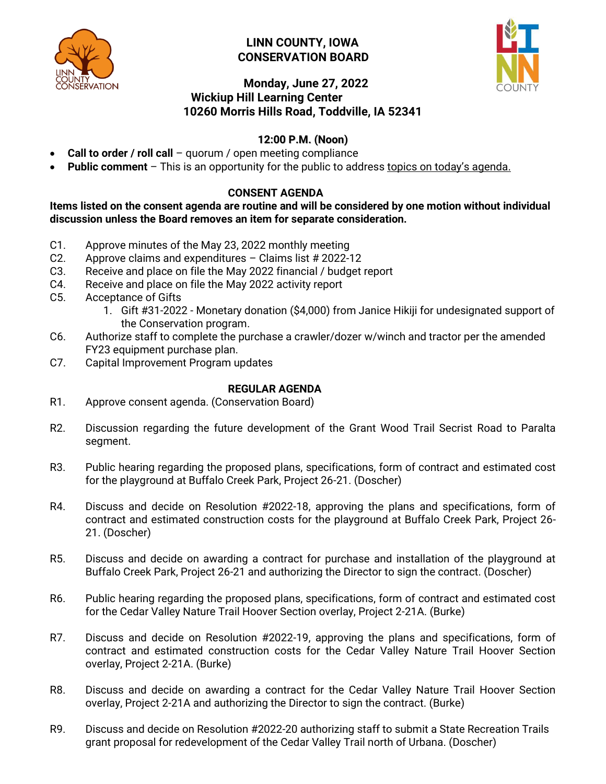

## **LINN COUNTY, IOWA CONSERVATION BOARD**



# **Monday, June 27, 2022 Wickiup Hill Learning Center 10260 Morris Hills Road, Toddville, IA 52341**

# **12:00 P.M. (Noon)**

- **Call to order / roll call** quorum / open meeting compliance
- **Public comment**  This is an opportunity for the public to address topics on today's agenda.

### **CONSENT AGENDA**

**Items listed on the consent agenda are routine and will be considered by one motion without individual discussion unless the Board removes an item for separate consideration.**

- C1. Approve minutes of the May 23, 2022 monthly meeting
- C2. Approve claims and expenditures Claims list # 2022-12
- C3. Receive and place on file the May 2022 financial / budget report
- C4. Receive and place on file the May 2022 activity report
- C5. Acceptance of Gifts
	- 1. Gift #31-2022 Monetary donation (\$4,000) from Janice Hikiji for undesignated support of the Conservation program.
- C6. Authorize staff to complete the purchase a crawler/dozer w/winch and tractor per the amended FY23 equipment purchase plan.
- C7. Capital Improvement Program updates

#### **REGULAR AGENDA**

- R1. Approve consent agenda. (Conservation Board)
- R2. Discussion regarding the future development of the Grant Wood Trail Secrist Road to Paralta segment.
- R3. Public hearing regarding the proposed plans, specifications, form of contract and estimated cost for the playground at Buffalo Creek Park, Project 26-21. (Doscher)
- R4. Discuss and decide on Resolution #2022-18, approving the plans and specifications, form of contract and estimated construction costs for the playground at Buffalo Creek Park, Project 26- 21. (Doscher)
- R5. Discuss and decide on awarding a contract for purchase and installation of the playground at Buffalo Creek Park, Project 26-21 and authorizing the Director to sign the contract. (Doscher)
- R6. Public hearing regarding the proposed plans, specifications, form of contract and estimated cost for the Cedar Valley Nature Trail Hoover Section overlay, Project 2-21A. (Burke)
- R7. Discuss and decide on Resolution #2022-19, approving the plans and specifications, form of contract and estimated construction costs for the Cedar Valley Nature Trail Hoover Section overlay, Project 2-21A. (Burke)
- R8. Discuss and decide on awarding a contract for the Cedar Valley Nature Trail Hoover Section overlay, Project 2-21A and authorizing the Director to sign the contract. (Burke)
- R9. Discuss and decide on Resolution #2022-20 authorizing staff to submit a State Recreation Trails grant proposal for redevelopment of the Cedar Valley Trail north of Urbana. (Doscher)